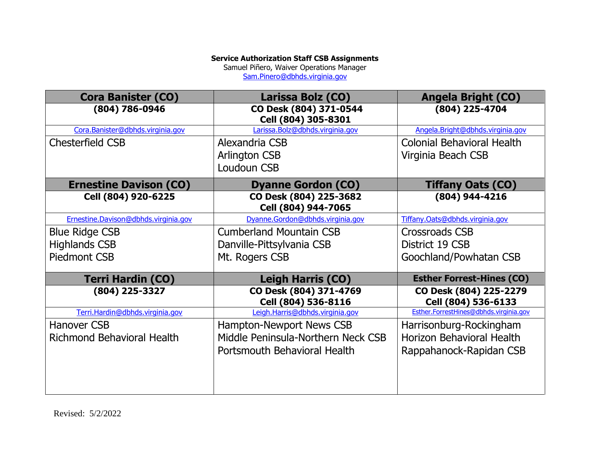## **Service Authorization Staff CSB Assignments**

Samuel Piñero, Waiver Operations Manager

[Sam.Pinero@dbhds.virginia.gov](mailto:Sam.Pinero@dbhds.virginia.gov)

| <b>Cora Banister (CO)</b>            | Larissa Bolz (CO)                             | <b>Angela Bright (CO)</b>                     |  |
|--------------------------------------|-----------------------------------------------|-----------------------------------------------|--|
| (804) 786-0946                       | CO Desk (804) 371-0544<br>Cell (804) 305-8301 | (804) 225-4704                                |  |
| Cora.Banister@dbhds.virginia.gov     | Larissa.Bolz@dbhds.virginia.gov               | Angela.Bright@dbhds.virginia.gov              |  |
| Chesterfield CSB                     | Alexandria CSB                                | <b>Colonial Behavioral Health</b>             |  |
|                                      | <b>Arlington CSB</b>                          | Virginia Beach CSB                            |  |
|                                      | Loudoun CSB                                   |                                               |  |
| <b>Ernestine Davison (CO)</b>        | <b>Dyanne Gordon (CO)</b>                     | <b>Tiffany Oats (CO)</b>                      |  |
| Cell (804) 920-6225                  | CO Desk (804) 225-3682<br>Cell (804) 944-7065 | (804) 944-4216                                |  |
| Ernestine.Davison@dbhds.virginia.gov | Dyanne.Gordon@dbhds.virginia.gov              | Tiffany.Oats@dbhds.virginia.gov               |  |
| <b>Blue Ridge CSB</b>                | <b>Cumberland Mountain CSB</b>                | Crossroads CSB                                |  |
| <b>Highlands CSB</b>                 | Danville-Pittsylvania CSB                     | District 19 CSB                               |  |
| <b>Piedmont CSB</b>                  | Mt. Rogers CSB                                | Goochland/Powhatan CSB                        |  |
| <b>Terri Hardin (CO)</b>             | <b>Leigh Harris (CO)</b>                      | <b>Esther Forrest-Hines (CO)</b>              |  |
| (804) 225-3327                       | CO Desk (804) 371-4769<br>Cell (804) 536-8116 | CO Desk (804) 225-2279<br>Cell (804) 536-6133 |  |
| Terri.Hardin@dbhds.virginia.gov      | Leigh.Harris@dbhds.virginia.gov               | Esther.ForrestHines@dbhds.virginia.gov        |  |
| Hanover CSB                          | Hampton-Newport News CSB                      | Harrisonburg-Rockingham                       |  |
| <b>Richmond Behavioral Health</b>    | Middle Peninsula-Northern Neck CSB            | Horizon Behavioral Health                     |  |
|                                      | Portsmouth Behavioral Health                  | Rappahanock-Rapidan CSB                       |  |
|                                      |                                               |                                               |  |
|                                      |                                               |                                               |  |
|                                      |                                               |                                               |  |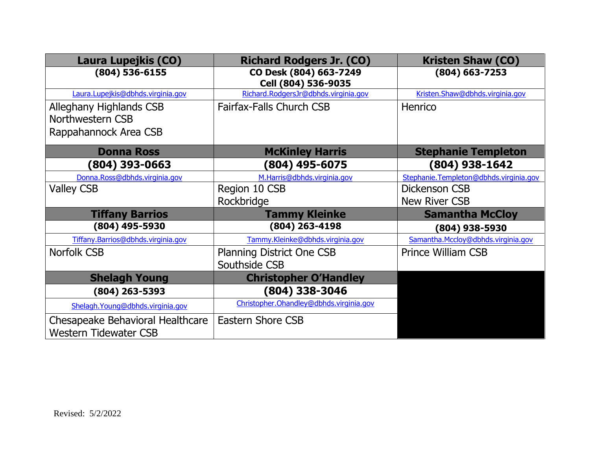| Laura Lupejkis (CO)                                              | <b>Richard Rodgers Jr. (CO)</b>               | <b>Kristen Shaw (CO)</b>               |
|------------------------------------------------------------------|-----------------------------------------------|----------------------------------------|
| $(804)$ 536-6155                                                 | CO Desk (804) 663-7249<br>Cell (804) 536-9035 | $(804)$ 663-7253                       |
| Laura.Lupejkis@dbhds.virginia.gov                                | Richard.RodgersJr@dbhds.virginia.gov          | Kristen.Shaw@dbhds.virginia.gov        |
| Alleghany Highlands CSB                                          | <b>Fairfax-Falls Church CSB</b>               | <b>Henrico</b>                         |
| Northwestern CSB                                                 |                                               |                                        |
| Rappahannock Area CSB                                            |                                               |                                        |
| <b>Donna Ross</b>                                                | <b>McKinley Harris</b>                        | <b>Stephanie Templeton</b>             |
| (804) 393-0663                                                   | (804) 495-6075                                | (804) 938-1642                         |
| Donna.Ross@dbhds.virginia.gov                                    | M.Harris@dbhds.virginia.gov                   | Stephanie.Templeton@dbhds.virginia.gov |
| <b>Valley CSB</b>                                                | Region 10 CSB                                 | Dickenson CSB                          |
|                                                                  | Rockbridge                                    | <b>New River CSB</b>                   |
| <b>Tiffany Barrios</b>                                           | <b>Tammy Kleinke</b>                          | <b>Samantha McCloy</b>                 |
| (804) 495-5930                                                   | $(804)$ 263-4198                              | (804) 938-5930                         |
| Tiffany.Barrios@dbhds.virginia.gov                               | Tammy.Kleinke@dbhds.virginia.gov              | Samantha.Mccloy@dbhds.virginia.gov     |
| Norfolk CSB                                                      | <b>Planning District One CSB</b>              | <b>Prince William CSB</b>              |
|                                                                  | Southside CSB                                 |                                        |
| <b>Shelagh Young</b>                                             | <b>Christopher O'Handley</b>                  |                                        |
| $(804)$ 263-5393                                                 | (804) 338-3046                                |                                        |
| Shelagh. Young@dbhds. virginia.gov                               | Christopher. Ohandley@dbhds. virginia.gov     |                                        |
| Chesapeake Behavioral Healthcare<br><b>Western Tidewater CSB</b> | <b>Eastern Shore CSB</b>                      |                                        |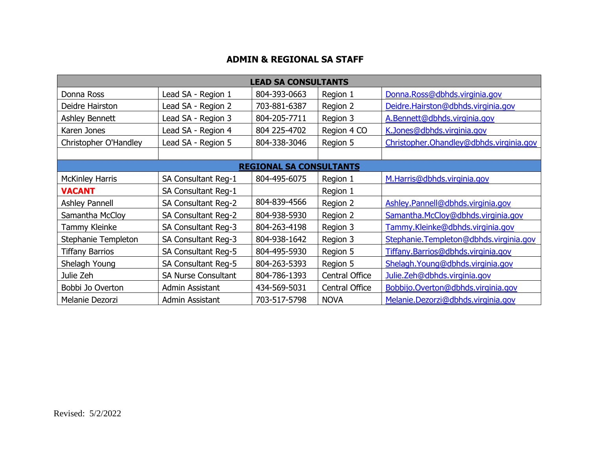## **ADMIN & REGIONAL SA STAFF**

| <b>LEAD SA CONSULTANTS</b>     |                            |              |                |                                           |  |  |
|--------------------------------|----------------------------|--------------|----------------|-------------------------------------------|--|--|
| Donna Ross                     | Lead SA - Region 1         | 804-393-0663 | Region 1       | Donna.Ross@dbhds.virginia.gov             |  |  |
| Deidre Hairston                | Lead SA - Region 2         | 703-881-6387 | Region 2       | Deidre.Hairston@dbhds.virginia.gov        |  |  |
| Ashley Bennett                 | Lead SA - Region 3         | 804-205-7711 | Region 3       | A.Bennett@dbhds.virginia.gov              |  |  |
| Karen Jones                    | Lead SA - Region 4         | 804 225-4702 | Region 4 CO    | K.Jones@dbhds.virginia.gov                |  |  |
| Christopher O'Handley          | Lead SA - Region 5         | 804-338-3046 | Region 5       | Christopher. Ohandley@dbhds. virginia.gov |  |  |
|                                |                            |              |                |                                           |  |  |
| <b>REGIONAL SA CONSULTANTS</b> |                            |              |                |                                           |  |  |
| <b>McKinley Harris</b>         | SA Consultant Reg-1        | 804-495-6075 | Region 1       | M.Harris@dbhds.virginia.gov               |  |  |
| <b>VACANT</b>                  | SA Consultant Reg-1        |              | Region 1       |                                           |  |  |
| <b>Ashley Pannell</b>          | SA Consultant Reg-2        | 804-839-4566 | Region 2       | Ashley.Pannell@dbhds.virginia.gov         |  |  |
| Samantha McCloy                | SA Consultant Reg-2        | 804-938-5930 | Region 2       | Samantha.McCloy@dbhds.virginia.gov        |  |  |
| Tammy Kleinke                  | SA Consultant Reg-3        | 804-263-4198 | Region 3       | Tammy.Kleinke@dbhds.virginia.gov          |  |  |
| Stephanie Templeton            | SA Consultant Reg-3        | 804-938-1642 | Region 3       | Stephanie.Templeton@dbhds.virginia.gov    |  |  |
| <b>Tiffany Barrios</b>         | SA Consultant Reg-5        | 804-495-5930 | Region 5       | Tiffany.Barrios@dbhds.virginia.gov        |  |  |
| Shelagh Young                  | SA Consultant Reg-5        | 804-263-5393 | Region 5       | Shelagh. Young@dbhds. virginia.gov        |  |  |
| Julie Zeh                      | <b>SA Nurse Consultant</b> | 804-786-1393 | Central Office | Julie.Zeh@dbhds.virginia.gov              |  |  |
| Bobbi Jo Overton               | Admin Assistant            | 434-569-5031 | Central Office | Bobbijo.Overton@dbhds.virginia.gov        |  |  |
| Melanie Dezorzi                | Admin Assistant            | 703-517-5798 | <b>NOVA</b>    | Melanie.Dezorzi@dbhds.virginia.gov        |  |  |